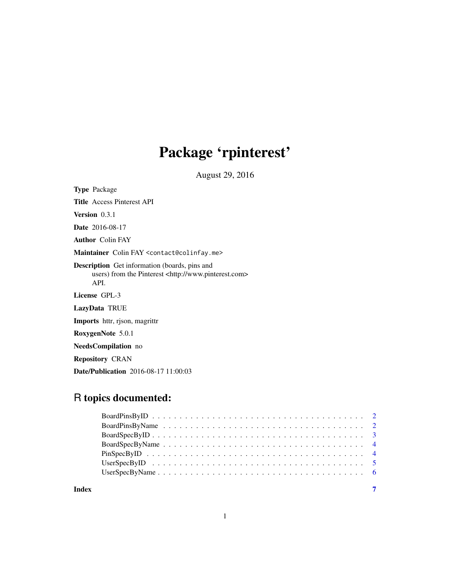## Package 'rpinterest'

August 29, 2016

Type Package

Title Access Pinterest API

Version 0.3.1

Date 2016-08-17

Author Colin FAY

Maintainer Colin FAY <contact@colinfay.me>

Description Get information (boards, pins and users) from the Pinterest <http://www.pinterest.com> API.

License GPL-3

LazyData TRUE

Imports httr, rjson, magrittr

RoxygenNote 5.0.1

NeedsCompilation no

Repository CRAN

Date/Publication 2016-08-17 11:00:03

## R topics documented:

| Index | $\overline{7}$ |
|-------|----------------|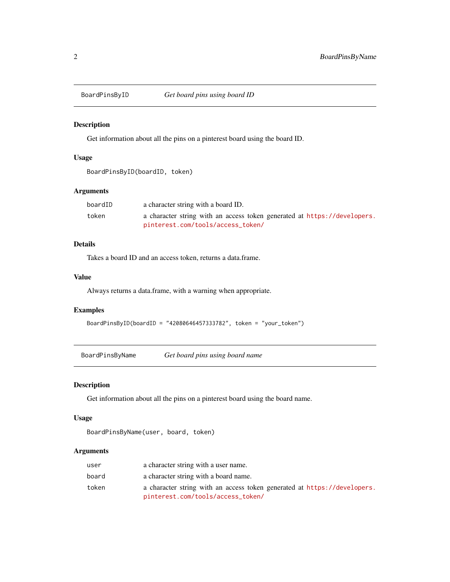<span id="page-1-0"></span>

## Description

Get information about all the pins on a pinterest board using the board ID.

## Usage

BoardPinsByID(boardID, token)

## Arguments

| boardID | a character string with a board ID.                                      |
|---------|--------------------------------------------------------------------------|
| token   | a character string with an access token generated at https://developers. |
|         | pinterest.com/tools/access_token/                                        |

#### Details

Takes a board ID and an access token, returns a data.frame.

#### Value

Always returns a data.frame, with a warning when appropriate.

#### Examples

BoardPinsByID(boardID = "42080646457333782", token = "your\_token")

BoardPinsByName *Get board pins using board name*

#### Description

Get information about all the pins on a pinterest board using the board name.

#### Usage

```
BoardPinsByName(user, board, token)
```
## Arguments

| user  | a character string with a user name.                                     |
|-------|--------------------------------------------------------------------------|
| board | a character string with a board name.                                    |
| token | a character string with an access token generated at https://developers. |
|       | pinterest.com/tools/access_token/                                        |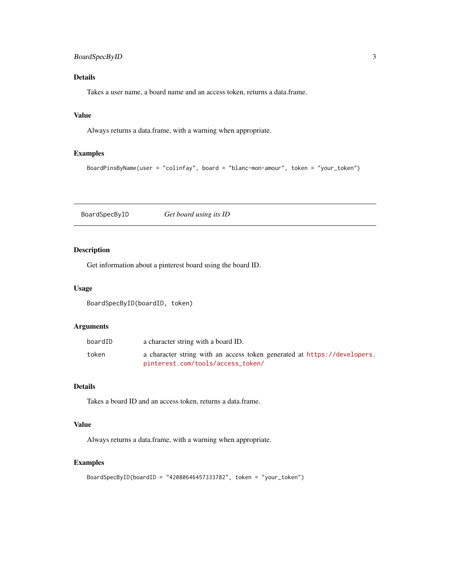## <span id="page-2-0"></span>BoardSpecByID 3

## Details

Takes a user name, a board name and an access token, returns a data.frame.

#### Value

Always returns a data.frame, with a warning when appropriate.

## Examples

BoardPinsByName(user = "colinfay", board = "blanc-mon-amour", token = "your\_token")

BoardSpecByID *Get board using its ID*

## Description

Get information about a pinterest board using the board ID.

#### Usage

BoardSpecByID(boardID, token)

## Arguments

| boardID | a character string with a board ID.                                                                           |
|---------|---------------------------------------------------------------------------------------------------------------|
| token   | a character string with an access token generated at https://developers.<br>pinterest.com/tools/access_token/ |
|         |                                                                                                               |

#### Details

Takes a board ID and an access token, returns a data.frame.

## Value

Always returns a data.frame, with a warning when appropriate.

#### Examples

```
BoardSpecByID(boardID = "42080646457333782", token = "your_token")
```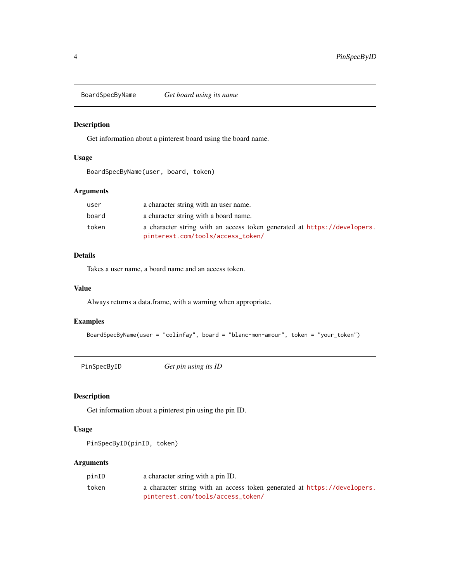<span id="page-3-0"></span>BoardSpecByName *Get board using its name*

## Description

Get information about a pinterest board using the board name.

## Usage

BoardSpecByName(user, board, token)

#### Arguments

| user  | a character string with an user name.                                    |
|-------|--------------------------------------------------------------------------|
| board | a character string with a board name.                                    |
| token | a character string with an access token generated at https://developers. |
|       | pinterest.com/tools/access_token/                                        |

## Details

Takes a user name, a board name and an access token.

#### Value

Always returns a data.frame, with a warning when appropriate.

#### Examples

```
BoardSpecByName(user = "colinfay", board = "blanc-mon-amour", token = "your_token")
```
PinSpecByID *Get pin using its ID*

## Description

Get information about a pinterest pin using the pin ID.

#### Usage

```
PinSpecByID(pinID, token)
```
## Arguments

| pinID | a character string with a pin ID.                                        |
|-------|--------------------------------------------------------------------------|
| token | a character string with an access token generated at https://developers. |
|       | pinterest.com/tools/access_token/                                        |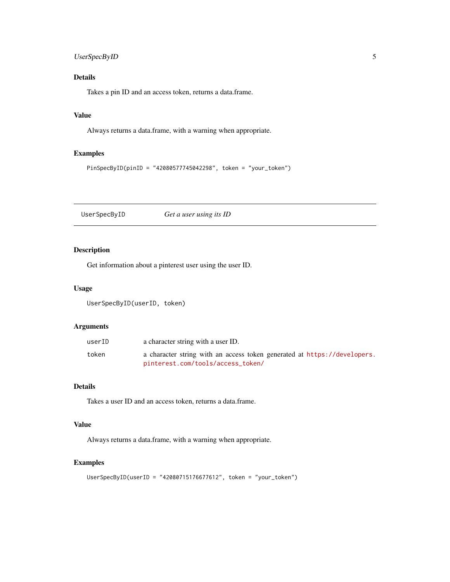## <span id="page-4-0"></span>UserSpecByID 5

## Details

Takes a pin ID and an access token, returns a data.frame.

## Value

Always returns a data.frame, with a warning when appropriate.

## Examples

```
PinSpecByID(pinID = "42080577745042298", token = "your_token")
```
UserSpecByID *Get a user using its ID*

## Description

Get information about a pinterest user using the user ID.

#### Usage

UserSpecByID(userID, token)

## Arguments

| userID | a character string with a user ID.                                                                            |
|--------|---------------------------------------------------------------------------------------------------------------|
| token  | a character string with an access token generated at https://developers.<br>pinterest.com/tools/access_token/ |

#### Details

Takes a user ID and an access token, returns a data.frame.

## Value

Always returns a data.frame, with a warning when appropriate.

#### Examples

```
UserSpecByID(userID = "42080715176677612", token = "your_token")
```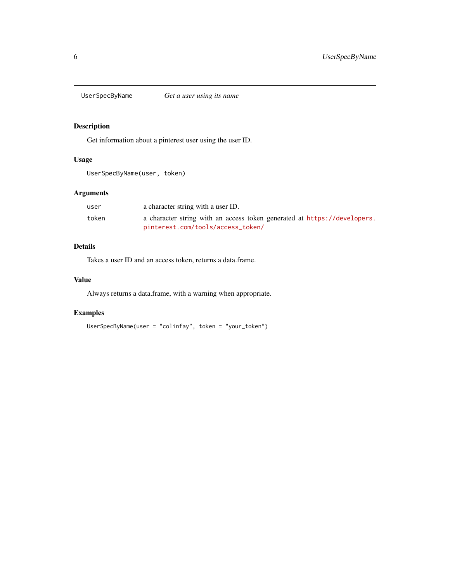<span id="page-5-0"></span>

## Description

Get information about a pinterest user using the user ID.

## Usage

UserSpecByName(user, token)

## Arguments

| user  | a character string with a user ID.                                       |
|-------|--------------------------------------------------------------------------|
| token | a character string with an access token generated at https://developers. |
|       | pinterest.com/tools/access_token/                                        |

## Details

Takes a user ID and an access token, returns a data.frame.

## Value

Always returns a data.frame, with a warning when appropriate.

## Examples

```
UserSpecByName(user = "colinfay", token = "your_token")
```